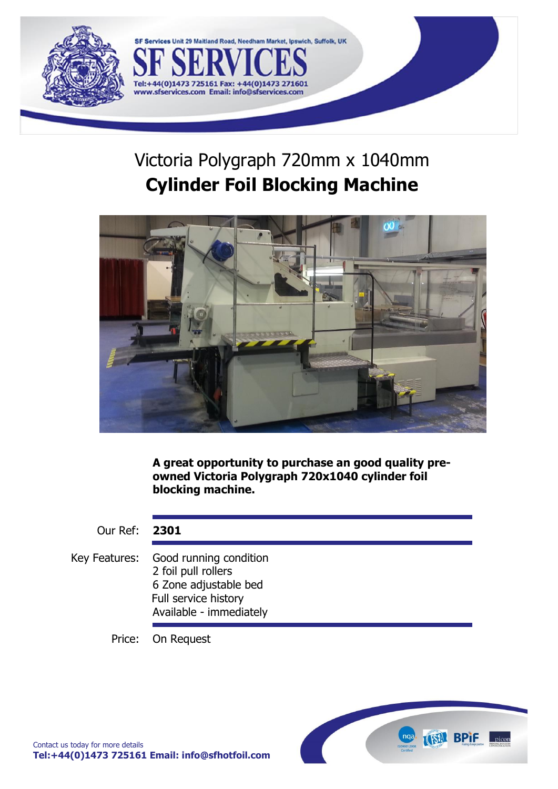

# Victoria Polygraph 720mm x 1040mm **Cylinder Foil Blocking Machine**

Maitland Road, Needham Market, Ipswich, Suffolk, UK

44(0)14732

Tel:+44(0)1473 725161 Fax:

www.sfservices.com Email: info@sfservices.com



**A great opportunity to purchase an good quality preowned Victoria Polygraph 720x1040 cylinder foil blocking machine.**

Our Ref: **2301**

Key Features: Good running condition 2 foil pull rollers 6 Zone adjustable bed Full service history Available - immediately

Price: On Request

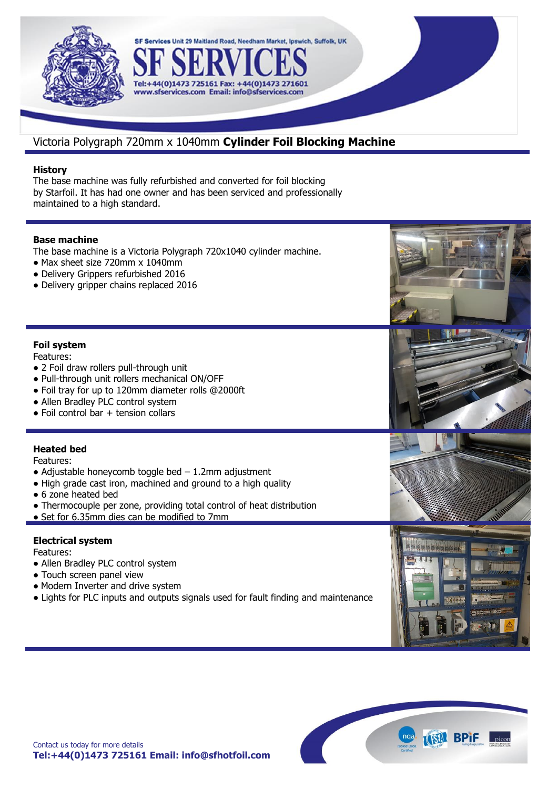

## Victoria Polygraph 720mm x 1040mm **Cylinder Foil Blocking Machine**

SF Services Unit 29 Maitland Road, Needham Market, Ipswich, Suffolk, UK

44(0)1473 27

## **History**

The base machine was fully refurbished and converted for foil blocking by Starfoil. It has had one owner and has been serviced and professionally maintained to a high standard.

Tel:+44(0)1473 725161 Fax: +

### **Base machine**

The base machine is a Victoria Polygraph 720x1040 cylinder machine.

- **•** Max sheet size 720mm x 1040mm
- **•** Delivery Grippers refurbished 2016
- **•** Delivery gripper chains replaced 2016

## **Foil system**

Features:

- **•** 2 Foil draw rollers pull-through unit
- **•** Pull-through unit rollers mechanical ON/OFF
- **•** Foil tray for up to 120mm diameter rolls @2000ft
- **•** Allen Bradley PLC control system
- **•** Foil control bar + tension collars

## **Heated bed**

Features:

- **•** Adjustable honeycomb toggle bed 1.2mm adjustment
- **•** High grade cast iron, machined and ground to a high quality
- **•** 6 zone heated bed
- **•** Thermocouple per zone, providing total control of heat distribution
- **•** Set for 6.35mm dies can be modified to 7mm

## **Electrical system**

Features:

- **•** Allen Bradley PLC control system
- **•** Touch screen panel view
- Modern Inverter and drive system
- **•** Lights for PLC inputs and outputs signals used for fault finding and maintenance

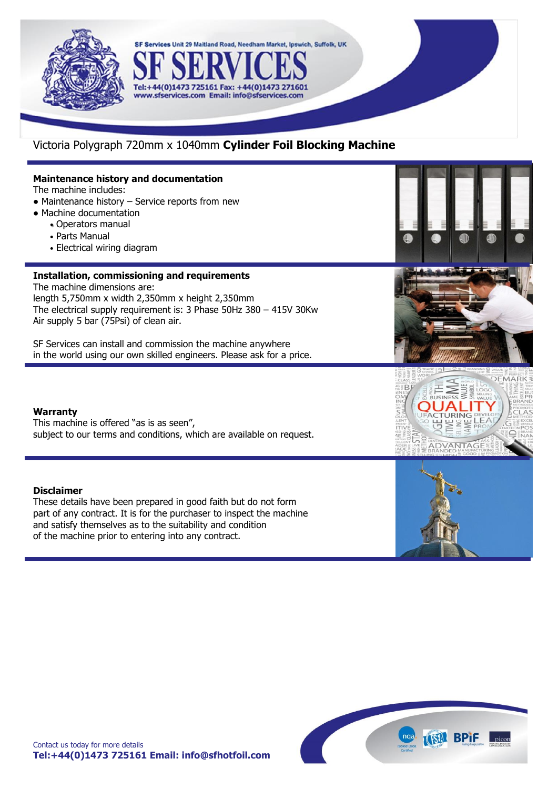

## Victoria Polygraph 720mm x 1040mm **Cylinder Foil Blocking Machine**

Tel:+44(0)1473 725161 Fax: +44(0)1473 271601 www.sfservices.com Email: info@sfservices.com

SF Services Unit 29 Maitland Road, Needham Market, Ipswich, Suffolk, UK

## **Maintenance history and documentation**

The machine includes:

- **•** Maintenance history Service reports from new
- **•** Machine documentation
	- Operators manual
		- Parts Manual
		- Electrical wiring diagram

## **Installation, commissioning and requirements**

The machine dimensions are: length 5,750mm x width 2,350mm x height 2,350mm The electrical supply requirement is: 3 Phase 50Hz 380 – 415V 30Kw Air supply 5 bar (75Psi) of clean air.

SF Services can install and commission the machine anywhere in the world using our own skilled engineers. Please ask for a price.

#### **Warranty**

This machine is offered "as is as seen", subject to our terms and conditions, which are available on request.

#### **Disclaimer**

These details have been prepared in good faith but do not form part of any contract. It is for the purchaser to inspect the machine and satisfy themselves as to the suitability and condition of the machine prior to entering into any contract.